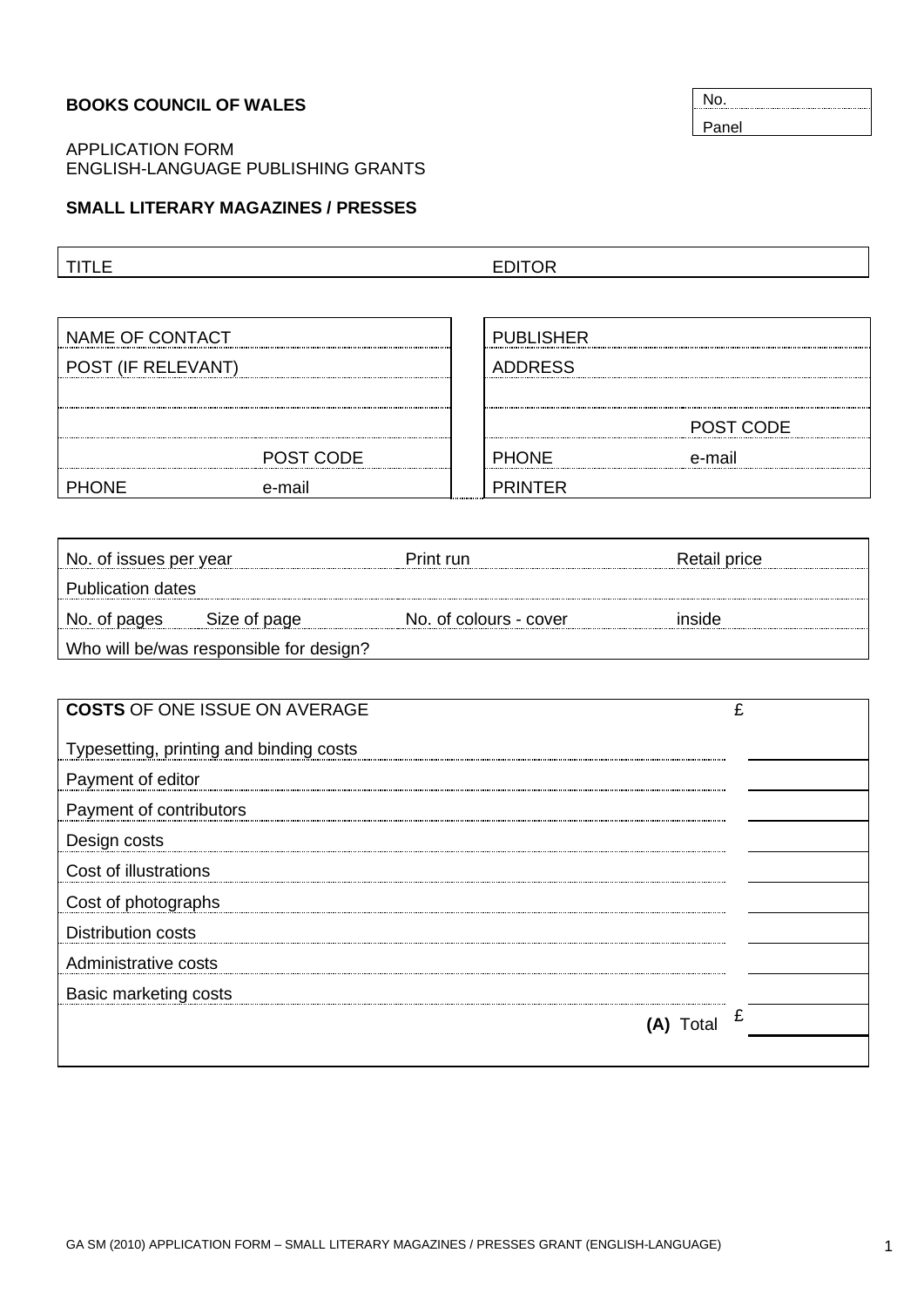### **BOOKS COUNCIL OF WALES**

## APPLICATION FORM ENGLISH-LANGUAGE PUBLISHING GRANTS

### **SMALL LITERARY MAGAZINES / PRESSES**

TITLE EDITOR

| NAME OF CONTACT    |           | <b>PUBLISHER</b> |           |
|--------------------|-----------|------------------|-----------|
| POST (IF RELEVANT) |           | <b>ADDRESS</b>   |           |
|                    |           |                  |           |
|                    |           |                  | POST CODE |
|                    | POST CODE | <b>PHONE</b>     | e-mail    |
| PHONE              | e-mail    | <b>PRINTFR</b>   |           |

| No. of issues per year                  |              | Print run              | Retail price |  |  |
|-----------------------------------------|--------------|------------------------|--------------|--|--|
| Publication dates                       |              |                        |              |  |  |
| No. of pages                            | Size of page | No. of colours - cover | inside       |  |  |
| Who will be/was responsible for design? |              |                        |              |  |  |

| <b>COSTS OF ONE ISSUE ON AVERAGE</b>    | £ |
|-----------------------------------------|---|
| Typesetting, printing and binding costs |   |
| Payment of editor                       |   |
| Payment of contributors                 |   |
| Design costs                            |   |
| Cost of illustrations                   |   |
| Cost of photographs                     |   |
| <b>Distribution costs</b>               |   |
| Administrative costs                    |   |
| Basic marketing costs                   |   |
| I otal                                  | £ |
|                                         |   |

No. Panel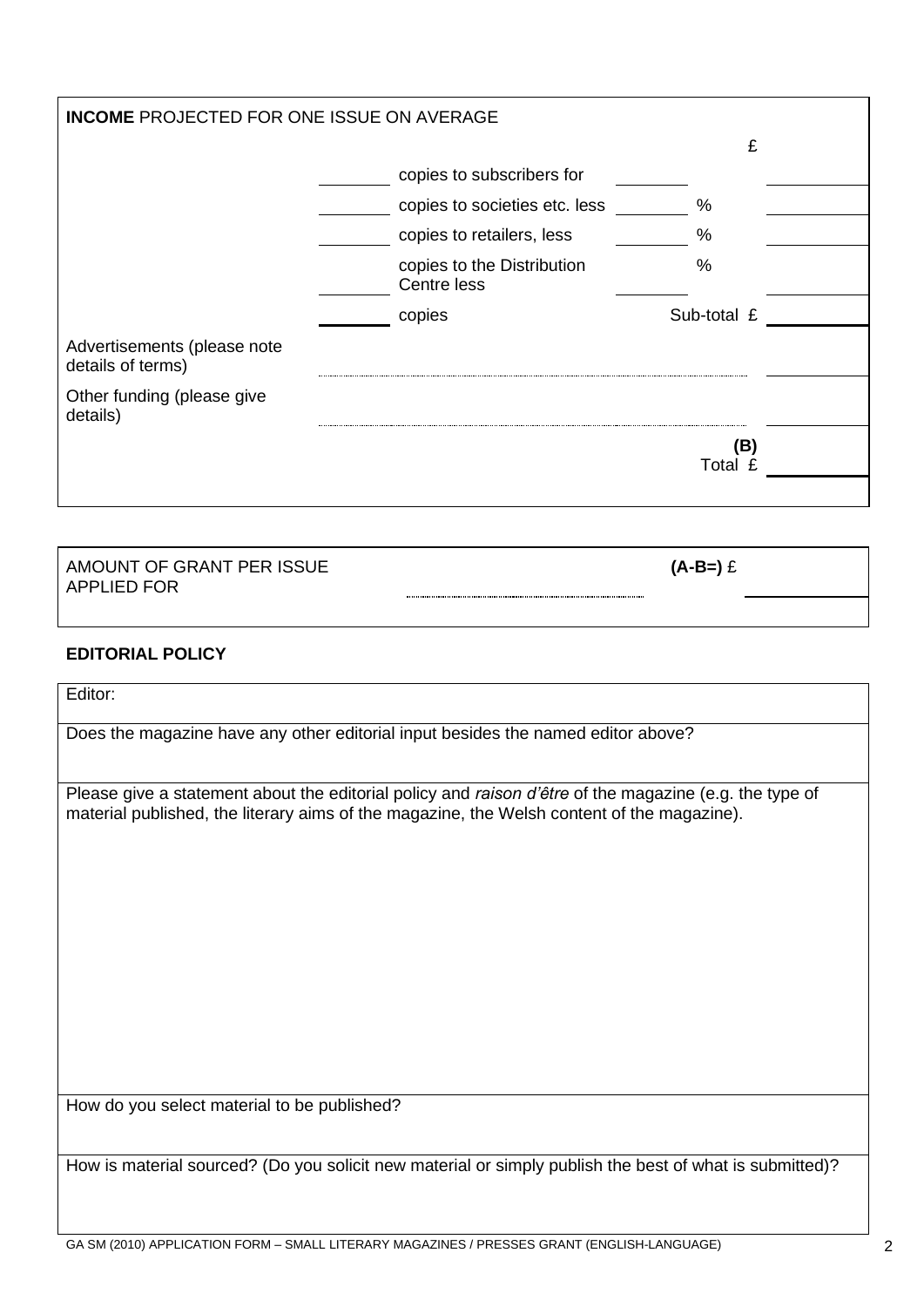| <b>INCOME PROJECTED FOR ONE ISSUE ON AVERAGE</b> |                                           |                |  |  |  |
|--------------------------------------------------|-------------------------------------------|----------------|--|--|--|
|                                                  |                                           | £              |  |  |  |
|                                                  | copies to subscribers for                 |                |  |  |  |
|                                                  | copies to societies etc. less             | %              |  |  |  |
|                                                  | copies to retailers, less                 | %              |  |  |  |
|                                                  | copies to the Distribution<br>Centre less | %              |  |  |  |
|                                                  | copies                                    | Sub-total £    |  |  |  |
| Advertisements (please note<br>details of terms) |                                           |                |  |  |  |
| Other funding (please give<br>details)           |                                           |                |  |  |  |
|                                                  |                                           | (B)<br>Total £ |  |  |  |
|                                                  |                                           |                |  |  |  |
| AMOUNT OF GRANT PER ISSUE<br><b>APPLIED FOR</b>  |                                           | $(A-B=)$ £     |  |  |  |
|                                                  |                                           |                |  |  |  |

# **EDITORIAL POLICY**

Editor:

Does the magazine have any other editorial input besides the named editor above?

Please give a statement about the editorial policy and *raison d'être* of the magazine (e.g. the type of material published, the literary aims of the magazine, the Welsh content of the magazine).

How do you select material to be published?

How is material sourced? (Do you solicit new material or simply publish the best of what is submitted)?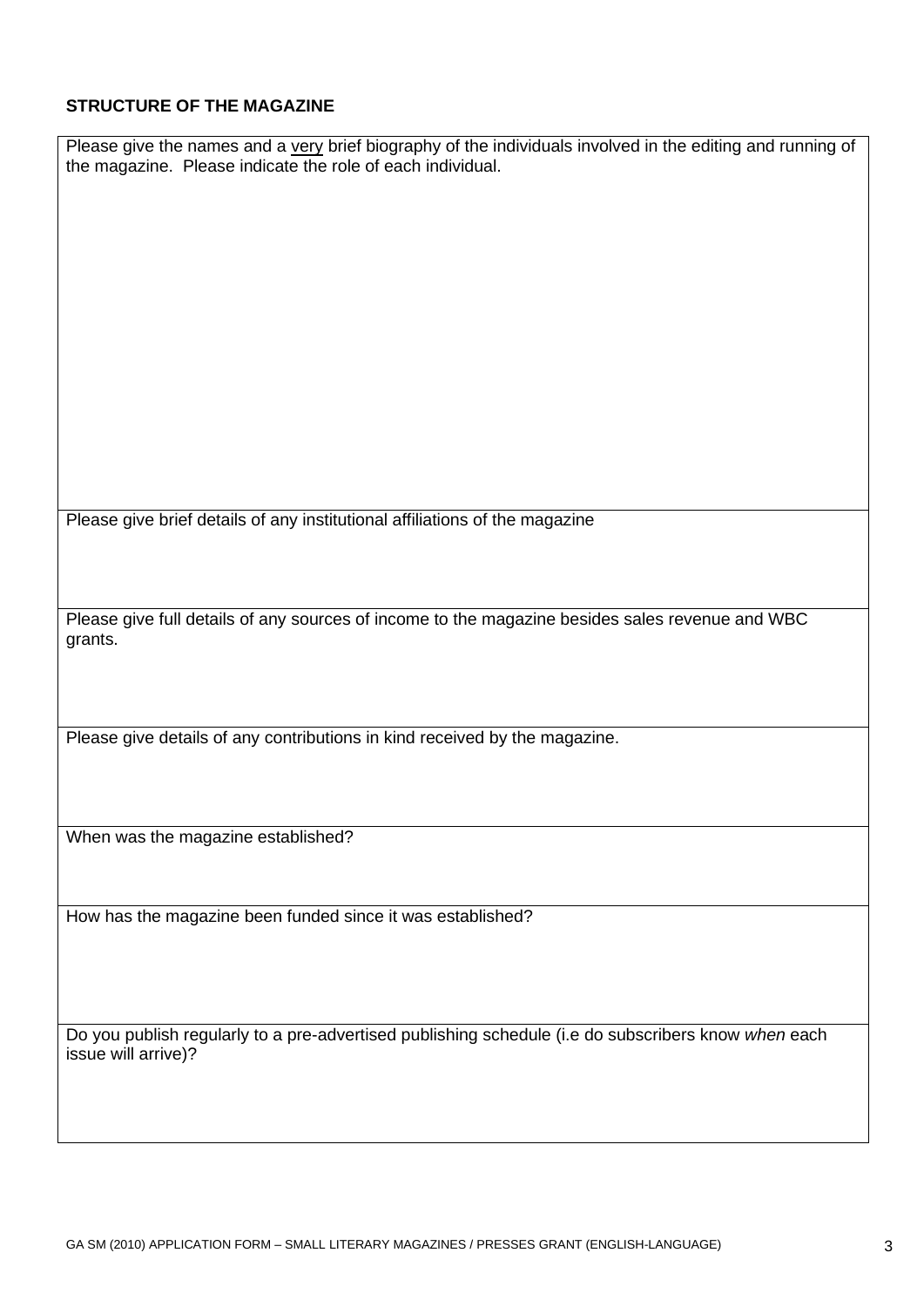# **STRUCTURE OF THE MAGAZINE**

| Please give the names and a very brief biography of the individuals involved in the editing and running of<br>the magazine. Please indicate the role of each individual. |  |  |  |
|--------------------------------------------------------------------------------------------------------------------------------------------------------------------------|--|--|--|
|                                                                                                                                                                          |  |  |  |
|                                                                                                                                                                          |  |  |  |
|                                                                                                                                                                          |  |  |  |
|                                                                                                                                                                          |  |  |  |
|                                                                                                                                                                          |  |  |  |
|                                                                                                                                                                          |  |  |  |
|                                                                                                                                                                          |  |  |  |
| Please give brief details of any institutional affiliations of the magazine                                                                                              |  |  |  |
|                                                                                                                                                                          |  |  |  |
| Please give full details of any sources of income to the magazine besides sales revenue and WBC<br>grants.                                                               |  |  |  |
|                                                                                                                                                                          |  |  |  |
| Please give details of any contributions in kind received by the magazine.                                                                                               |  |  |  |
|                                                                                                                                                                          |  |  |  |
| When was the magazine established?                                                                                                                                       |  |  |  |
|                                                                                                                                                                          |  |  |  |
| How has the magazine been funded since it was established?                                                                                                               |  |  |  |
|                                                                                                                                                                          |  |  |  |
| Do you publish regularly to a pre-advertised publishing schedule (i.e do subscribers know when each<br>issue will arrive)?                                               |  |  |  |
|                                                                                                                                                                          |  |  |  |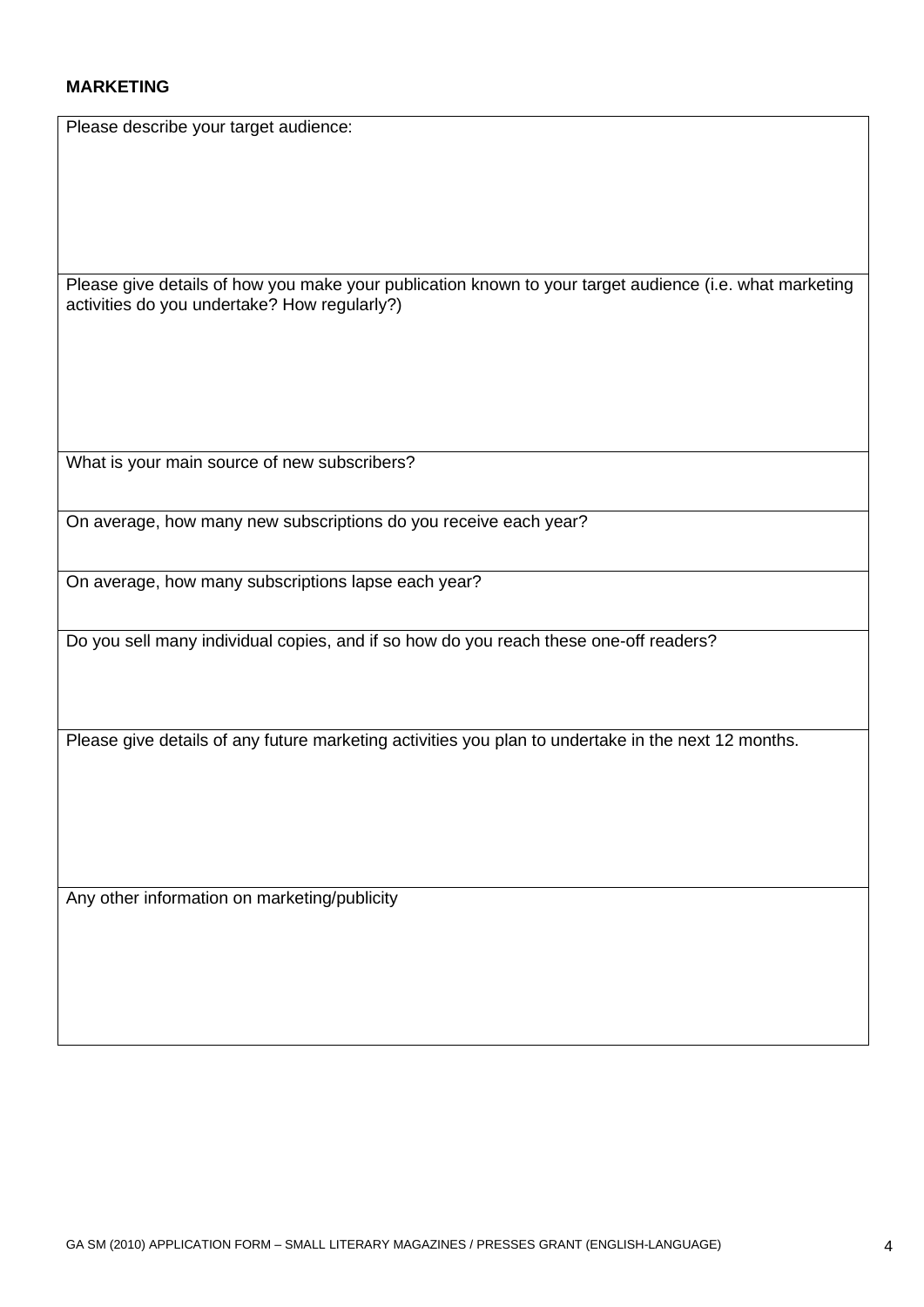### **MARKETING**

Please describe your target audience:

Please give details of how you make your publication known to your target audience (i.e. what marketing activities do you undertake? How regularly?)

What is your main source of new subscribers?

On average, how many new subscriptions do you receive each year?

On average, how many subscriptions lapse each year?

Do you sell many individual copies, and if so how do you reach these one-off readers?

Please give details of any future marketing activities you plan to undertake in the next 12 months.

Any other information on marketing/publicity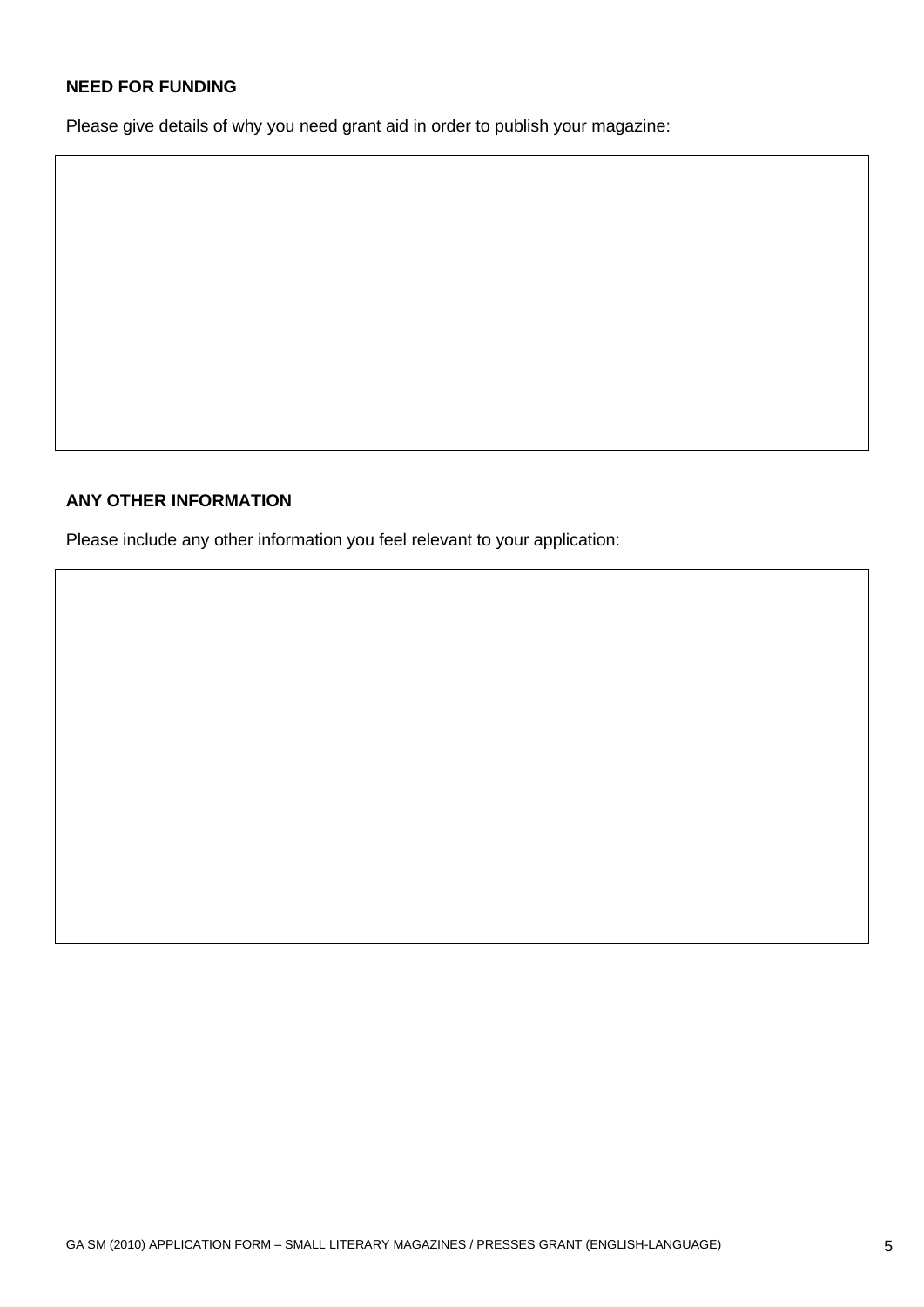## **NEED FOR FUNDING**

Please give details of why you need grant aid in order to publish your magazine:

#### **ANY OTHER INFORMATION**

Please include any other information you feel relevant to your application: